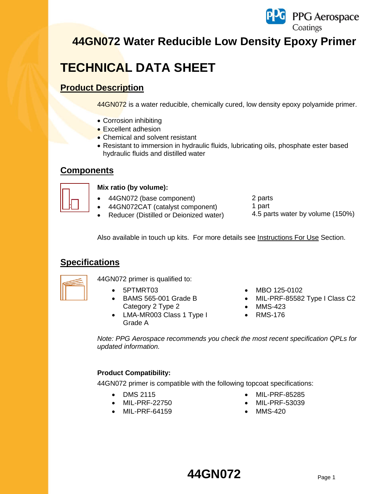

# **TECHNICAL DATA SHEET**

## **Product Description**

44GN072 is a water reducible, chemically cured, low density epoxy polyamide primer.

- Corrosion inhibiting
- **Excellent adhesion**
- Chemical and solvent resistant
- Resistant to immersion in hydraulic fluids, lubricating oils, phosphate ester based hydraulic fluids and distilled water

### **Components**



### **Mix ratio (by volume):**

- 44GN072 (base component)
- 44GN072CAT (catalyst component)
- Reducer (Distilled or Deionized water)
- 2 parts
- 1 part
- 4.5 parts water by volume (150%)

Also available in touch up kits. For more details see Instructions For Use Section.

## **Specifications**



44GN072 primer is qualified to:

- 
- BAMS 565-001 Grade B Category 2 Type 2
- LMA-MR003 Class 1 Type I Grade A
- 5PTMRT03 MBO 125-0102
	- MIL-PRF-85582 Type I Class C2
	- MMS-423
	- RMS-176

*Note: PPG Aerospace recommends you check the most recent specification QPLs for updated information.*

### **Product Compatibility:**

44GN072 primer is compatible with the following topcoat specifications:

- 
- 
- MIL-PRF-64159 MMS-420
- DMS 2115 MIL-PRF-85285
	- MIL-PRF-22750 MIL-PRF-53039
		-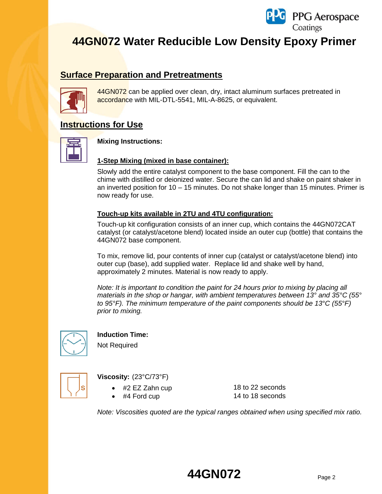

## **Surface Preparation and Pretreatments**



44GN072 can be applied over clean, dry, intact aluminum surfaces pretreated in accordance with MIL-DTL-5541, MIL-A-8625, or equivalent.

## **Instructions for Use**



### **Mixing Instructions:**

### **1-Step Mixing (mixed in base container):**

Slowly add the entire catalyst component to the base component. Fill the can to the chime with distilled or deionized water. Secure the can lid and shake on paint shaker in an inverted position for 10 – 15 minutes. Do not shake longer than 15 minutes. Primer is now ready for use.

### **Touch-up kits available in 2TU and 4TU configuration:**

Touch-up kit configuration consists of an inner cup, which contains the 44GN072CAT catalyst (or catalyst/acetone blend) located inside an outer cup (bottle) that contains the 44GN072 base component.

To mix, remove lid, pour contents of inner cup (catalyst or catalyst/acetone blend) into outer cup (base), add supplied water. Replace lid and shake well by hand, approximately 2 minutes. Material is now ready to apply.

*Note: It is important to condition the paint for 24 hours prior to mixing by placing all materials in the shop or hangar, with ambient temperatures between 13° and 35°C (55° to 95°F). The minimum temperature of the paint components should be 13°C (55°F) prior to mixing.*



### **Induction Time:**

Not Required



### **Viscosity:** (23°C/73°F)

- #2 EZ Zahn cup 18 to 22 seconds
- 

#4 Ford cup 14 to 18 seconds

*Note: Viscosities quoted are the typical ranges obtained when using specified mix ratio.*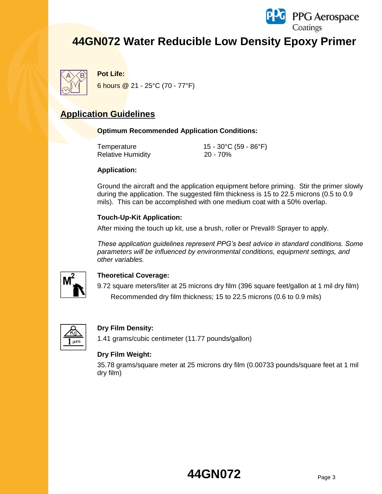



**Pot Life:**

6 hours @ 21 - 25°C (70 - 77°F)

## **Application Guidelines**

### **Optimum Recommended Application Conditions:**

| Temperature       | 15 - 30°C (59 - 86°F) |
|-------------------|-----------------------|
| Relative Humidity | 20 - 70%              |

### **Application:**

Ground the aircraft and the application equipment before priming. Stir the primer slowly during the application. The suggested film thickness is 15 to 22.5 microns (0.5 to 0.9 mils). This can be accomplished with one medium coat with a 50% overlap.

### **Touch-Up-Kit Application:**

After mixing the touch up kit, use a brush, roller or Preval® Sprayer to apply.

*These application guidelines represent PPG's best advice in standard conditions. Some parameters will be influenced by environmental conditions, equipment settings, and other variables.*



### **Theoretical Coverage:**

9.72 square meters/liter at 25 microns dry film (396 square feet/gallon at 1 mil dry film) Recommended dry film thickness; 15 to 22.5 microns (0.6 to 0.9 mils)



### **Dry Film Density:**

1.41 grams/cubic centimeter (11.77 pounds/gallon)

### **Dry Film Weight:**

35.78 grams/square meter at 25 microns dry film (0.00733 pounds/square feet at 1 mil dry film)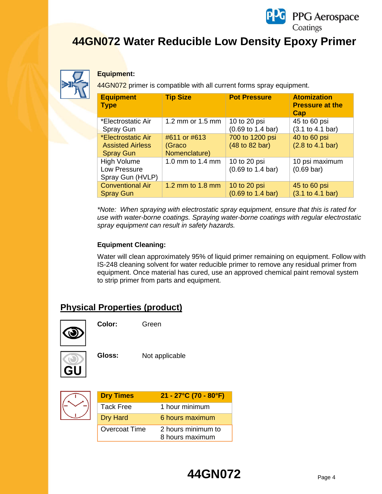



#### **Equipment:**

44GN072 primer is compatible with all current forms spray equipment.

| <b>Equipment</b><br><b>Type</b>                                   | <b>Tip Size</b>                         | <b>Pot Pressure</b>                                  | <b>Atomization</b><br><b>Pressure at the</b><br>Cap |
|-------------------------------------------------------------------|-----------------------------------------|------------------------------------------------------|-----------------------------------------------------|
| *Electrostatic Air<br><b>Spray Gun</b>                            | 1.2 mm or 1.5 mm                        | 10 to 20 psi<br>(0.69 to 1.4 bar)                    | 45 to 60 psi<br>(3.1 to 4.1 bar)                    |
| *Electrostatic Air<br><b>Assisted Airless</b><br><b>Spray Gun</b> | #611 or #613<br>(Graco<br>Nomenclature) | 700 to 1200 psi<br>(48 to 82 bar)                    | 40 to 60 psi<br>(2.8 to 4.1 bar)                    |
| <b>High Volume</b><br>Low Pressure<br>Spray Gun (HVLP)            | 1.0 mm to 1.4 mm                        | 10 to 20 psi<br>$(0.69 \text{ to } 1.4 \text{ bar})$ | 10 psi maximum<br>$(0.69 \text{ bar})$              |
| <b>Conventional Air</b><br><b>Spray Gun</b>                       | 1.2 mm to 1.8 mm                        | 10 to 20 psi<br>$(0.69 \text{ to } 1.4 \text{ bar})$ | 45 to 60 psi<br>(3.1 to 4.1 bar)                    |

*\*Note: When spraying with electrostatic spray equipment, ensure that this is rated for use with water-borne coatings. Spraying water-borne coatings with regular electrostatic spray equipment can result in safety hazards.*

### **Equipment Cleaning:**

Water will clean approximately 95% of liquid primer remaining on equipment. Follow with IS-248 cleaning solvent for water reducible primer to remove any residual primer from equipment. Once material has cured, use an approved chemical paint removal system to strip primer from parts and equipment.

## **Physical Properties (product)**



**Color:** Green



**Gloss:** Not applicable



| <b>Dry Times</b>     | $21 - 27^{\circ}$ C (70 - 80 $^{\circ}$ F) |
|----------------------|--------------------------------------------|
| Tack Free            | 1 hour minimum                             |
| <b>Dry Hard</b>      | 6 hours maximum                            |
| <b>Overcoat Time</b> | 2 hours minimum to<br>8 hours maximum      |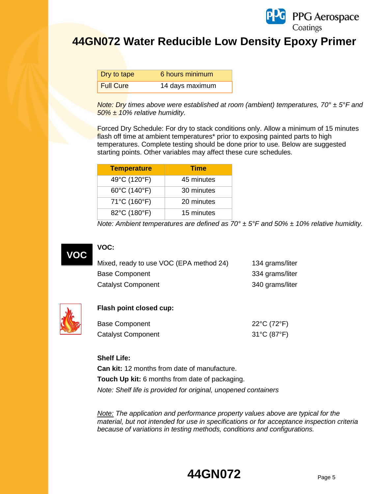

| Dry to tape | 6 hours minimum |
|-------------|-----------------|
| Full Cure   | 14 days maximum |

*Note: Dry times above were established at room (ambient) temperatures, 70° ± 5°F and 50% ± 10% relative humidity.*

Forced Dry Schedule: For dry to stack conditions only. Allow a minimum of 15 minutes flash off time at ambient temperatures<sup>\*</sup> prior to exposing painted parts to high temperatures. Complete testing should be done prior to use. Below are suggested starting points. Other variables may affect these cure schedules.

| <b>Temperature</b>                | <b>Time</b> |
|-----------------------------------|-------------|
| 49°C (120°F)                      | 45 minutes  |
| $60^{\circ}$ C (140 $^{\circ}$ F) | 30 minutes  |
| 71°C (160°F)                      | 20 minutes  |
| 82°C (180°F)                      | 15 minutes  |

*Note: Ambient temperatures are defined as 70° ± 5°F and 50% ± 10% relative humidity.* 



### **VOC:**

| Mixed, ready to use VOC (EPA method 24) | 134 grams/liter |
|-----------------------------------------|-----------------|
| Base Component                          | 334 grams/liter |
| <b>Catalyst Component</b>               | 340 grams/liter |



#### **Flash point closed cup:**

| Base Component            | 22°C (72°F) |
|---------------------------|-------------|
| <b>Catalyst Component</b> | 31°C (87°F) |

#### **Shelf Life:**

**Can kit:** 12 months from date of manufacture. **Touch Up kit:** 6 months from date of packaging. *Note: Shelf life is provided for original, unopened containers*

*Note: The application and performance property values above are typical for the material, but not intended for use in specifications or for acceptance inspection criteria because of variations in testing methods, conditions and configurations.*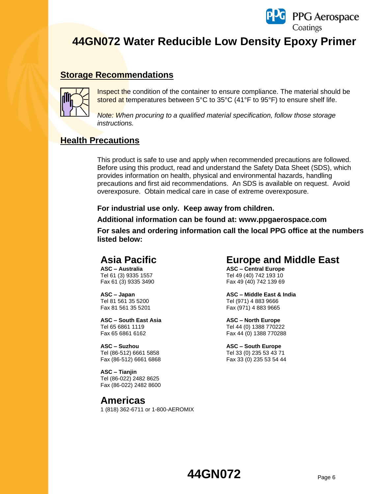

## **Storage Recommendations**



Inspect the condition of the container to ensure compliance. The material should be stored at temperatures between 5°C to 35°C (41°F to 95°F) to ensure shelf life.

*Note: When procuring to a qualified material specification, follow those storage instructions.*

### **Health Precautions**

This product is safe to use and apply when recommended precautions are followed. Before using this product, read and understand the Safety Data Sheet (SDS), which provides information on health, physical and environmental hazards, handling precautions and first aid recommendations. An SDS is available on request. Avoid overexposure. Obtain medical care in case of extreme overexposure.

#### **For industrial use only. Keep away from children.**

**Additional information can be found at: www.ppgaerospace.com**

**For sales and ordering information call the local PPG office at the numbers listed below:**

## **Asia Pacific**

**ASC – Australia** Tel 61 (3) 9335 1557 Fax 61 (3) 9335 3490

**ASC – Japan**  Tel 81 561 35 5200 Fax 81 561 35 5201

**ASC – South East Asia**  Tel 65 6861 1119 Fax 65 6861 6162

**ASC – Suzhou** Tel (86-512) 6661 5858 Fax (86-512) 6661 6868

**ASC – Tianjin** Tel (86-022) 2482 8625 Fax (86-022) 2482 8600

## **Americas**

1 (818) 362-6711 or 1-800-AEROMIX

## **Europe and Middle East**

**ASC – Central Europe** Tel 49 (40) 742 193 10 Fax 49 (40) 742 139 69

**ASC – Middle East & India** Tel (971) 4 883 9666 Fax (971) 4 883 9665

**ASC – North Europe** Tel 44 (0) 1388 770222 Fax 44 (0) 1388 770288

**ASC – South Europe** Tel 33 (0) 235 53 43 71 Fax 33 (0) 235 53 54 44